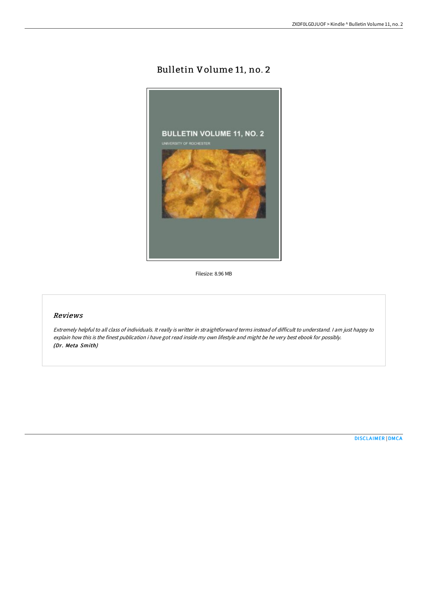## Bulletin Volume 11, no. 2



Filesize: 8.96 MB

## Reviews

Extremely helpful to all class of individuals. It really is writter in straightforward terms instead of difficult to understand. <sup>I</sup> am just happy to explain how this is the finest publication i have got read inside my own lifestyle and might be he very best ebook for possibly. (Dr. Meta Smith)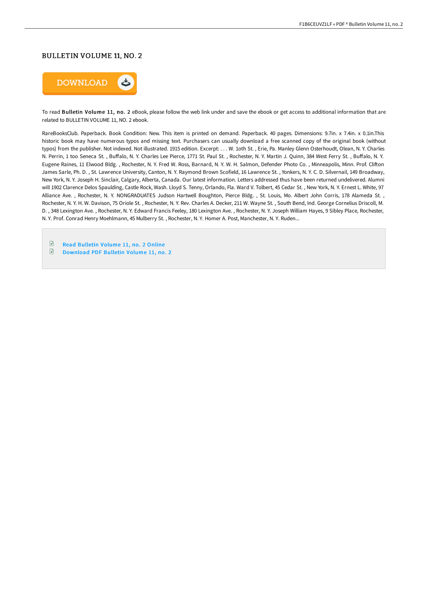## BULLETIN VOLUME 11, NO. 2



To read Bulletin Volume 11, no. 2 eBook, please follow the web link under and save the ebook or get access to additional information that are related to BULLETIN VOLUME 11, NO. 2 ebook.

RareBooksClub. Paperback. Book Condition: New. This item is printed on demand. Paperback. 40 pages. Dimensions: 9.7in. x 7.4in. x 0.1in.This historic book may have numerous typos and missing text. Purchasers can usually download a free scanned copy of the original book (without typos) from the publisher. Not indexed. Not illustrated. 1915 edition. Excerpt: . . . W. 1oth St. , Erie, Pa. Manley Glenn Osterhoudt, Olean, N. Y. Charles N. Perrin, 1 too Seneca St., Buffalo, N. Y. Charles Lee Pierce, 1771 St. Paul St., Rochester, N. Y. Martin J. Quinn, 384 West Ferry St., Buffalo, N. Y. Eugene Raines, 11 Elwood Bldg. , Rochester, N. Y. Fred W. Ross, Barnard, N. Y. W. H. Salmon, Defender Photo Co. , Minneapolis, Minn. Prof. CliIon James Sarle, Ph. D. , St. Lawrence University, Canton, N. Y. Raymond Brown Scofield, 16 Lawrence St. , Yonkers, N. Y. C. D. Silvernail, 149 Broadway, New York, N. Y. Joseph H. Sinclair, Calgary, Alberta, Canada. Our latest information. Letters addressed thus have been returned undelivered. Alumni will 1902 Clarence Delos Spaulding, Castle Rock, Wash. Lloyd S. Tenny, Orlando, Fla. Ward V. Tolbert, 45 Cedar St. , New York, N. Y. Ernest L. White, 97 Alliance Ave. , Rochester, N. Y. NONGRADUATES Judson Hartwell Boughton, Pierce Bldg. , St. Louis, Mo. Albert John Corris, 178 Alameda St. , Rochester, N. Y. H. W. Davison, 75 Oriole St. , Rochester, N. Y. Rev. Charles A. Decker, 211 W. Wayne St. , South Bend, Ind. George Cornelius Driscoll, M. D. , 348 Lexington Ave. , Rochester, N. Y. Edward Francis Feeley, 180 Lexington Ave. , Rochester, N. Y. Joseph William Hayes, 9 Sibley Place, Rochester, N. Y. Prof. Conrad Henry Moehlmann, 45 Mulberry St. , Rochester, N. Y. Homer A. Post, Manchester, N. Y. Ruden...

 $\mathbb{R}$ Read [Bulletin](http://techno-pub.tech/bulletin-volume-11-no-2.html) Volume 11, no. 2 Online

 $\mathbb{B}$ [Download](http://techno-pub.tech/bulletin-volume-11-no-2.html) PDF Bulletin Volume 11, no. 2